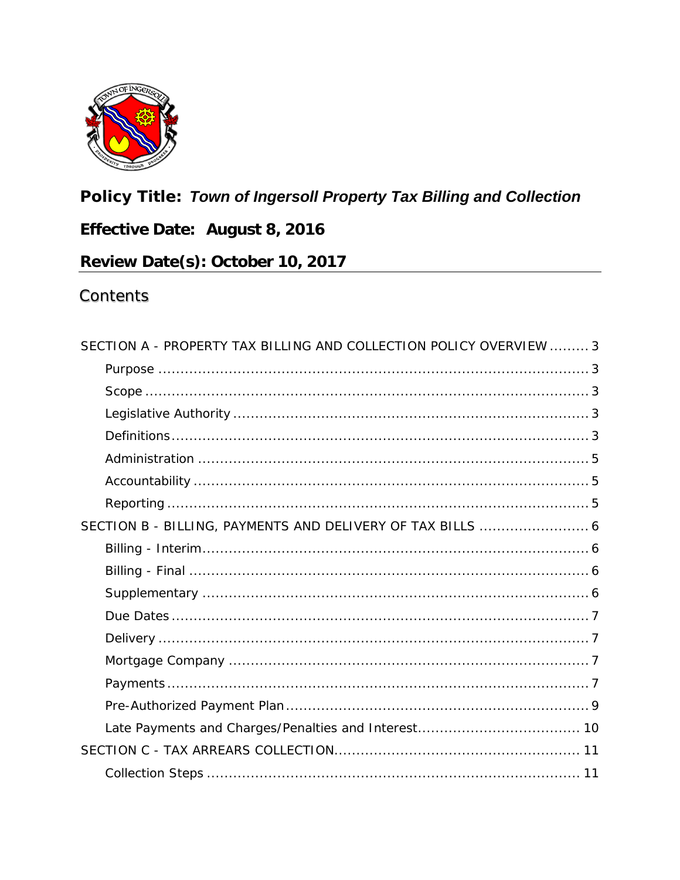

# **Policy Title: Town of Ingersoll Property Tax Billing and Collection**

# Effective Date: August 8, 2016

# Review Date(s): October 10, 2017

#### Contents

| SECTION A - PROPERTY TAX BILLING AND COLLECTION POLICY OVERVIEW  3 |  |
|--------------------------------------------------------------------|--|
|                                                                    |  |
|                                                                    |  |
|                                                                    |  |
|                                                                    |  |
|                                                                    |  |
|                                                                    |  |
|                                                                    |  |
| SECTION B - BILLING, PAYMENTS AND DELIVERY OF TAX BILLS  6         |  |
|                                                                    |  |
|                                                                    |  |
|                                                                    |  |
|                                                                    |  |
|                                                                    |  |
|                                                                    |  |
|                                                                    |  |
|                                                                    |  |
|                                                                    |  |
|                                                                    |  |
|                                                                    |  |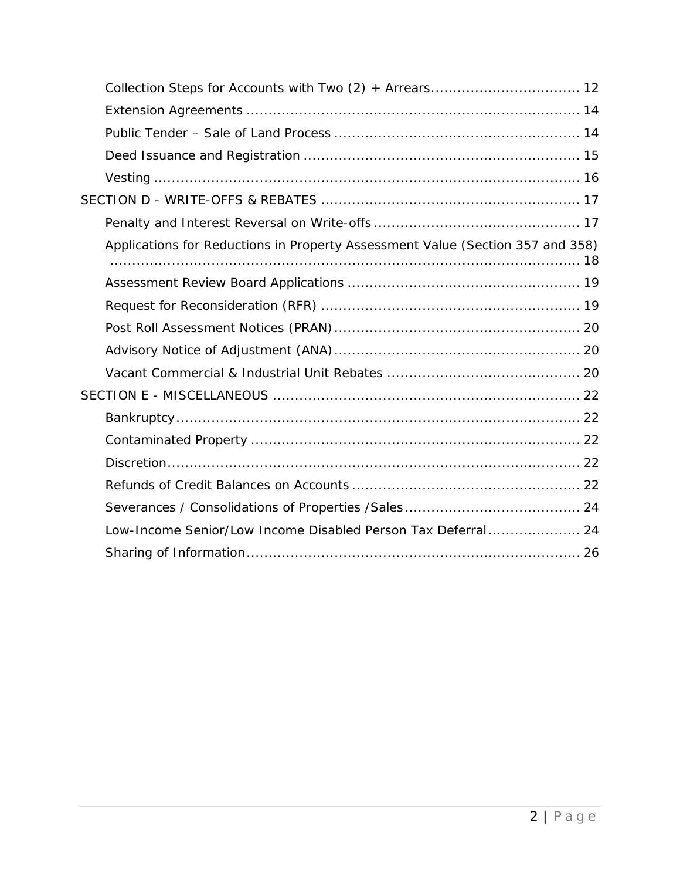| Applications for Reductions in Property Assessment Value (Section 357 and 358) |
|--------------------------------------------------------------------------------|
|                                                                                |
|                                                                                |
|                                                                                |
|                                                                                |
|                                                                                |
|                                                                                |
|                                                                                |
|                                                                                |
|                                                                                |
|                                                                                |
|                                                                                |
| Low-Income Senior/Low Income Disabled Person Tax Deferral 24                   |
|                                                                                |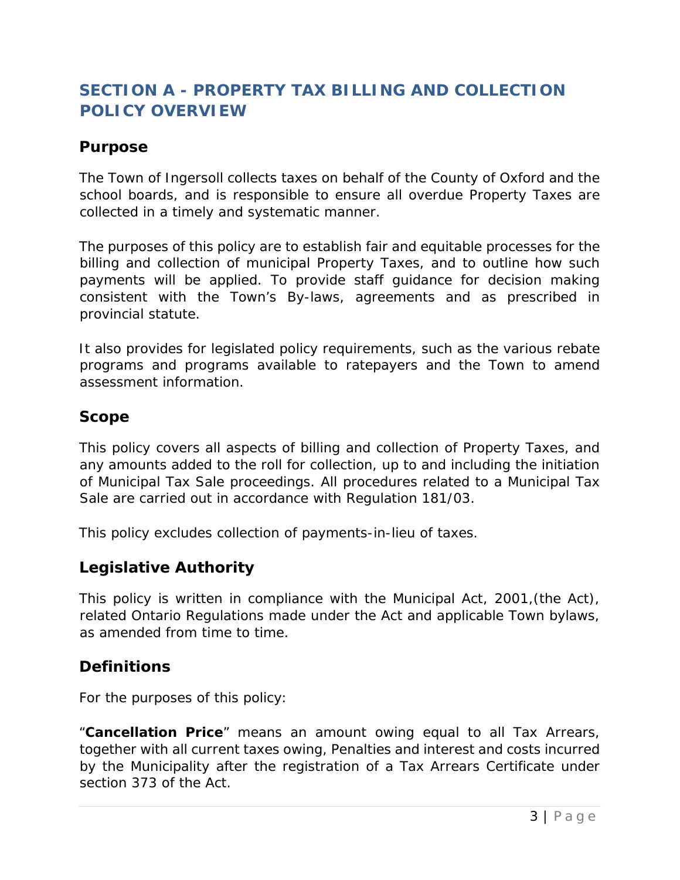# <span id="page-2-0"></span>**SECTION A - PROPERTY TAX BILLING AND COLLECTION POLICY OVERVIEW**

#### <span id="page-2-1"></span>*Purpose*

The Town of Ingersoll collects taxes on behalf of the County of Oxford and the school boards, and is responsible to ensure all overdue Property Taxes are collected in a timely and systematic manner.

The purposes of this policy are to establish fair and equitable processes for the billing and collection of municipal Property Taxes, and to outline how such payments will be applied. To provide staff guidance for decision making consistent with the Town's By-laws, agreements and as prescribed in provincial statute.

It also provides for legislated policy requirements, such as the various rebate programs and programs available to ratepayers and the Town to amend assessment information.

#### <span id="page-2-2"></span>*Scope*

This policy covers all aspects of billing and collection of Property Taxes, and any amounts added to the roll for collection, up to and including the initiation of Municipal Tax Sale proceedings. All procedures related to a Municipal Tax Sale are carried out in accordance with Regulation 181/03.

This policy excludes collection of payments-in-lieu of taxes.

#### <span id="page-2-3"></span>*Legislative Authority*

This policy is written in compliance with the Municipal Act, 2001,(the Act), related Ontario Regulations made under the Act and applicable Town bylaws, as amended from time to time.

#### <span id="page-2-4"></span>*Definitions*

For the purposes of this policy:

"**Cancellation Price**" means an amount owing equal to all Tax Arrears, together with all current taxes owing, Penalties and interest and costs incurred by the Municipality after the registration of a Tax Arrears Certificate under section 373 of the Act.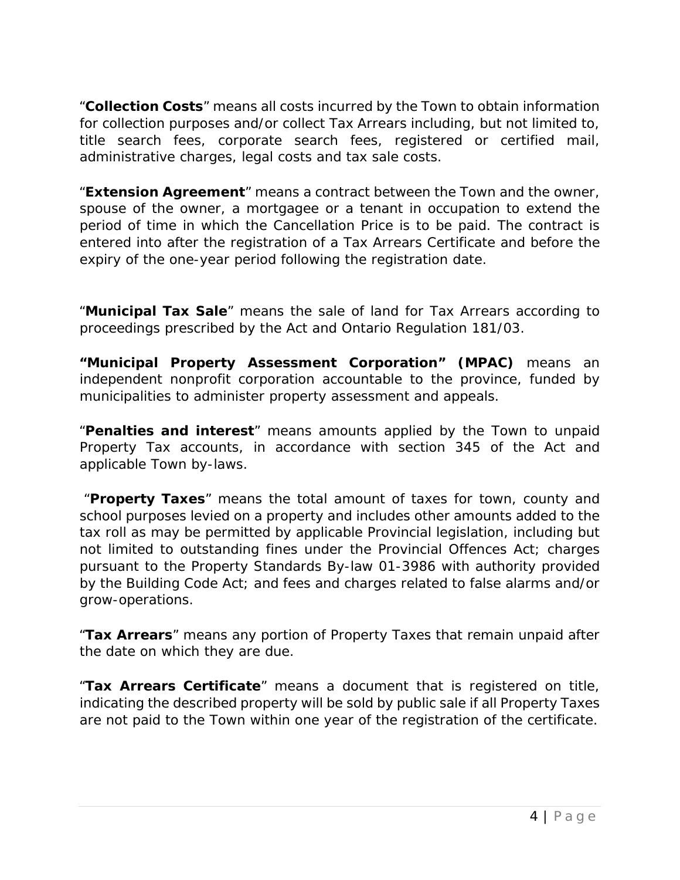"**Collection Costs**" means all costs incurred by the Town to obtain information for collection purposes and/or collect Tax Arrears including, but not limited to, title search fees, corporate search fees, registered or certified mail, administrative charges, legal costs and tax sale costs.

"**Extension Agreement**" means a contract between the Town and the owner, spouse of the owner, a mortgagee or a tenant in occupation to extend the period of time in which the Cancellation Price is to be paid. The contract is entered into after the registration of a Tax Arrears Certificate and before the expiry of the one-year period following the registration date.

"**Municipal Tax Sale**" means the sale of land for Tax Arrears according to proceedings prescribed by the Act and Ontario Regulation 181/03.

**"Municipal Property Assessment Corporation" (MPAC)** means an independent nonprofit corporation accountable to the province, funded by municipalities to administer property assessment and appeals.

"**Penalties and interest**" means amounts applied by the Town to unpaid Property Tax accounts, in accordance with section 345 of the Act and applicable Town by-laws.

"**Property Taxes**" means the total amount of taxes for town, county and school purposes levied on a property and includes other amounts added to the tax roll as may be permitted by applicable Provincial legislation, including but not limited to outstanding fines under the Provincial Offences Act; charges pursuant to the Property Standards By-law 01-3986 with authority provided by the Building Code Act; and fees and charges related to false alarms and/or grow-operations.

"**Tax Arrears**" means any portion of Property Taxes that remain unpaid after the date on which they are due.

"**Tax Arrears Certificate**" means a document that is registered on title, indicating the described property will be sold by public sale if all Property Taxes are not paid to the Town within one year of the registration of the certificate.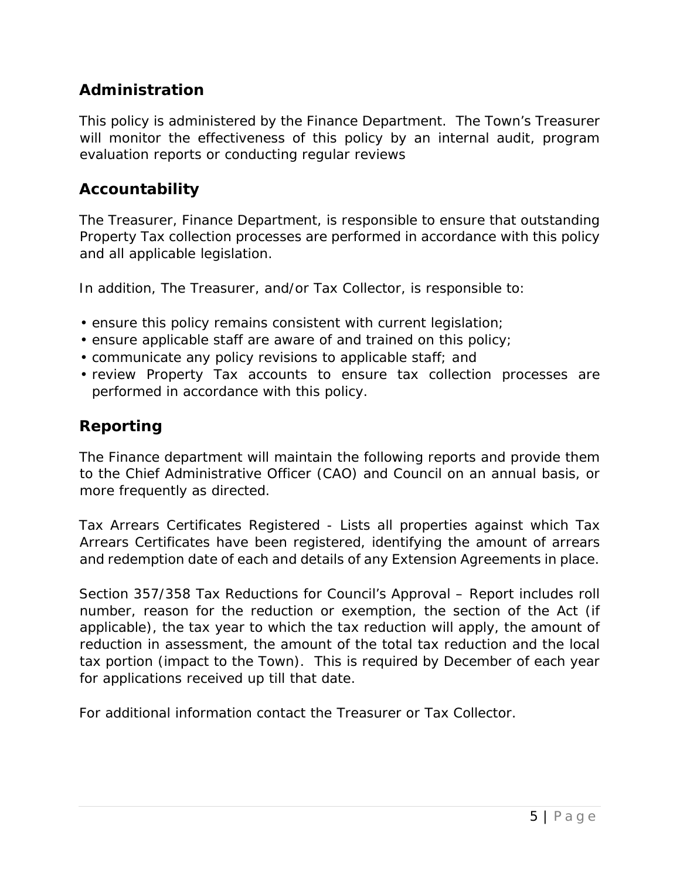### <span id="page-4-0"></span>*Administration*

This policy is administered by the Finance Department. The Town's Treasurer will monitor the effectiveness of this policy by an internal audit, program evaluation reports or conducting regular reviews

#### <span id="page-4-1"></span>*Accountability*

The Treasurer, Finance Department, is responsible to ensure that outstanding Property Tax collection processes are performed in accordance with this policy and all applicable legislation.

In addition, The Treasurer, and/or Tax Collector, is responsible to:

- ensure this policy remains consistent with current legislation;
- ensure applicable staff are aware of and trained on this policy;
- communicate any policy revisions to applicable staff; and
- review Property Tax accounts to ensure tax collection processes are performed in accordance with this policy.

### <span id="page-4-2"></span>*Reporting*

The Finance department will maintain the following reports and provide them to the Chief Administrative Officer (CAO) and Council on an annual basis, or more frequently as directed.

Tax Arrears Certificates Registered - Lists all properties against which Tax Arrears Certificates have been registered, identifying the amount of arrears and redemption date of each and details of any Extension Agreements in place.

Section 357/358 Tax Reductions for Council's Approval – Report includes roll number, reason for the reduction or exemption, the section of the Act (if applicable), the tax year to which the tax reduction will apply, the amount of reduction in assessment, the amount of the total tax reduction and the local tax portion (impact to the Town). This is required by December of each year for applications received up till that date.

For additional information contact the Treasurer or Tax Collector.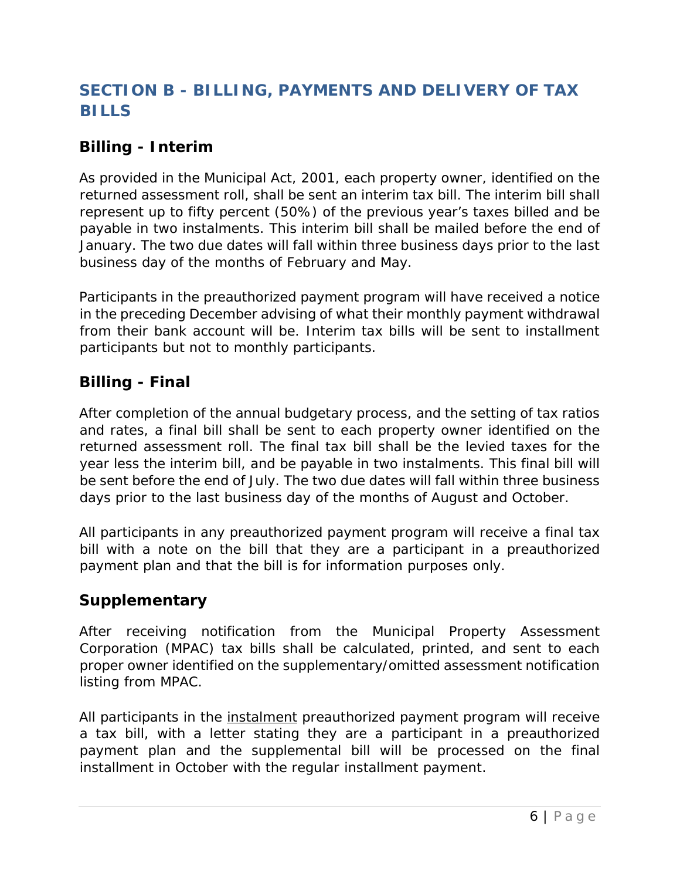# <span id="page-5-0"></span>**SECTION B - BILLING, PAYMENTS AND DELIVERY OF TAX BILLS**

### <span id="page-5-1"></span>*Billing - Interim*

As provided in the Municipal Act, 2001, each property owner, identified on the returned assessment roll, shall be sent an interim tax bill. The interim bill shall represent up to fifty percent (50%) of the previous year's taxes billed and be payable in two instalments. This interim bill shall be mailed before the end of January. The two due dates will fall within three business days prior to the last business day of the months of February and May.

Participants in the preauthorized payment program will have received a notice in the preceding December advising of what their monthly payment withdrawal from their bank account will be. Interim tax bills will be sent to installment participants but not to monthly participants.

#### <span id="page-5-2"></span>*Billing - Final*

After completion of the annual budgetary process, and the setting of tax ratios and rates, a final bill shall be sent to each property owner identified on the returned assessment roll. The final tax bill shall be the levied taxes for the year less the interim bill, and be payable in two instalments. This final bill will be sent before the end of July. The two due dates will fall within three business days prior to the last business day of the months of August and October.

All participants in any preauthorized payment program will receive a final tax bill with a note on the bill that they are a participant in a preauthorized payment plan and that the bill is for information purposes only.

### <span id="page-5-3"></span>*Supplementary*

After receiving notification from the Municipal Property Assessment Corporation (MPAC) tax bills shall be calculated, printed, and sent to each proper owner identified on the supplementary/omitted assessment notification listing from MPAC.

All participants in the instalment preauthorized payment program will receive a tax bill, with a letter stating they are a participant in a preauthorized payment plan and the supplemental bill will be processed on the final installment in October with the regular installment payment.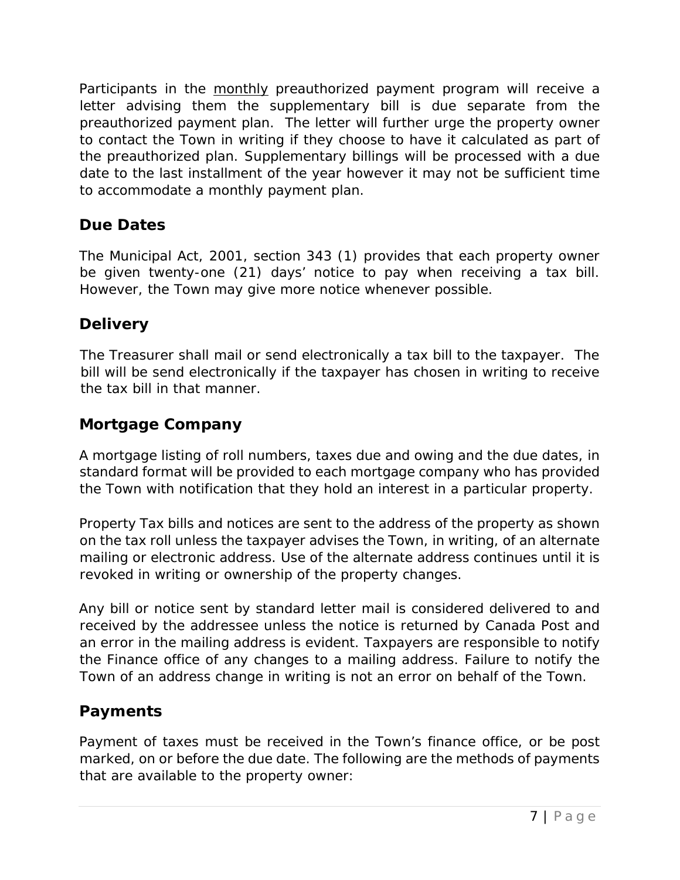Participants in the monthly preauthorized payment program will receive a letter advising them the supplementary bill is due separate from the preauthorized payment plan. The letter will further urge the property owner to contact the Town in writing if they choose to have it calculated as part of the preauthorized plan. Supplementary billings will be processed with a due date to the last installment of the year however it may not be sufficient time to accommodate a monthly payment plan.

## <span id="page-6-0"></span>*Due Dates*

The Municipal Act, 2001, section 343 (1) provides that each property owner be given twenty-one (21) days' notice to pay when receiving a tax bill. However, the Town may give more notice whenever possible.

## <span id="page-6-1"></span>*Delivery*

The Treasurer shall mail or send electronically a tax bill to the taxpayer. The bill will be send electronically if the taxpayer has chosen in writing to receive the tax bill in that manner.

### <span id="page-6-2"></span>*Mortgage Company*

A mortgage listing of roll numbers, taxes due and owing and the due dates, in standard format will be provided to each mortgage company who has provided the Town with notification that they hold an interest in a particular property.

Property Tax bills and notices are sent to the address of the property as shown on the tax roll unless the taxpayer advises the Town, in writing, of an alternate mailing or electronic address. Use of the alternate address continues until it is revoked in writing or ownership of the property changes.

Any bill or notice sent by standard letter mail is considered delivered to and received by the addressee unless the notice is returned by Canada Post and an error in the mailing address is evident. Taxpayers are responsible to notify the Finance office of any changes to a mailing address. Failure to notify the Town of an address change in writing is not an error on behalf of the Town.

### <span id="page-6-3"></span>*Payments*

Payment of taxes must be received in the Town's finance office, or be post marked, on or before the due date. The following are the methods of payments that are available to the property owner: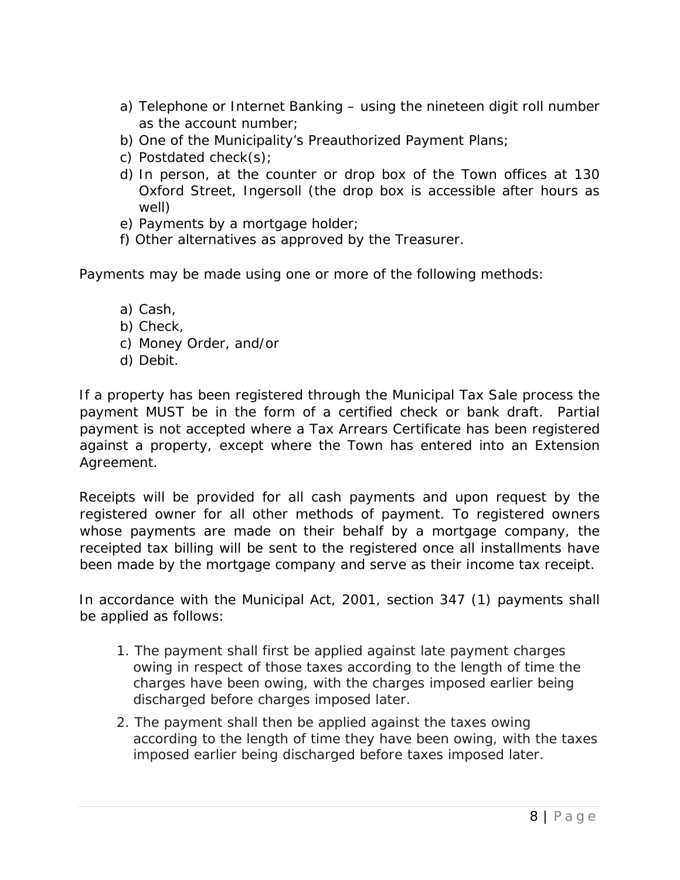- a) Telephone or Internet Banking using the nineteen digit roll number as the account number;
- b) One of the Municipality's Preauthorized Payment Plans;
- c) Postdated check(s);
- d) In person, at the counter or drop box of the Town offices at 130 Oxford Street, Ingersoll (the drop box is accessible after hours as well)
- e) Payments by a mortgage holder;
- f) Other alternatives as approved by the Treasurer.

Payments may be made using one or more of the following methods:

- a) Cash,
- b) Check,
- c) Money Order, and/or
- d) Debit.

If a property has been registered through the Municipal Tax Sale process the payment MUST be in the form of a certified check or bank draft. Partial payment is not accepted where a Tax Arrears Certificate has been registered against a property, except where the Town has entered into an Extension Agreement.

Receipts will be provided for all cash payments and upon request by the registered owner for all other methods of payment. To registered owners whose payments are made on their behalf by a mortgage company, the receipted tax billing will be sent to the registered once all installments have been made by the mortgage company and serve as their income tax receipt.

In accordance with the Municipal Act, 2001, section 347 (1) payments shall be applied as follows:

- 1. The payment shall first be applied against late payment charges owing in respect of those taxes according to the length of time the charges have been owing, with the charges imposed earlier being discharged before charges imposed later.
- 2. The payment shall then be applied against the taxes owing according to the length of time they have been owing, with the taxes imposed earlier being discharged before taxes imposed later.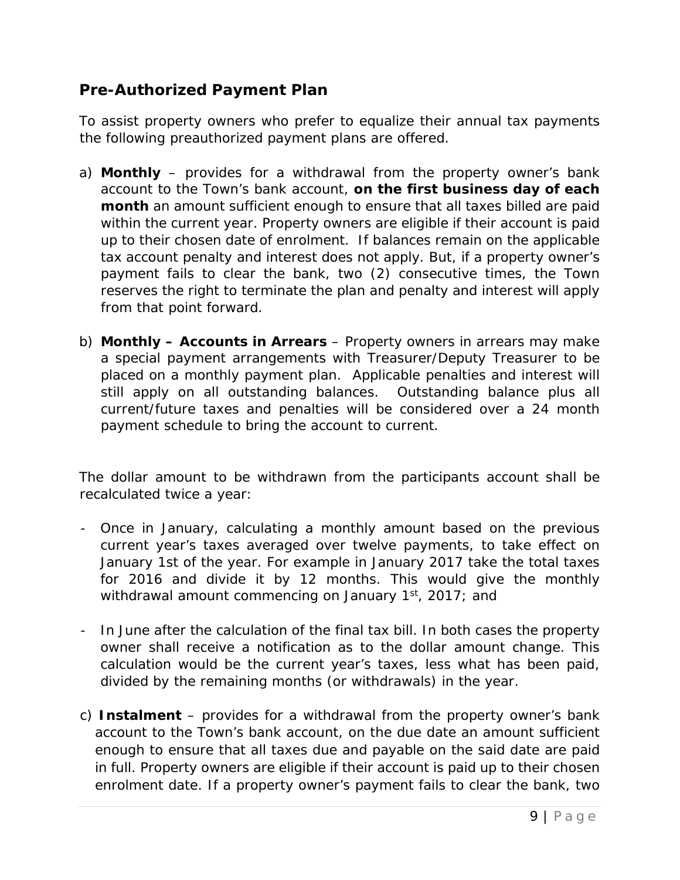## <span id="page-8-0"></span>*Pre-Authorized Payment Plan*

To assist property owners who prefer to equalize their annual tax payments the following preauthorized payment plans are offered.

- a) **Monthly**  provides for a withdrawal from the property owner's bank account to the Town's bank account, *on the first business day of each month* an amount sufficient enough to ensure that all taxes billed are paid within the current year. Property owners are eligible if their account is paid up to their chosen date of enrolment. If balances remain on the applicable tax account penalty and interest does not apply. But, if a property owner's payment fails to clear the bank, two (2) consecutive times, the Town reserves the right to terminate the plan and penalty and interest will apply from that point forward.
- b) **Monthly – Accounts in Arrears** Property owners in arrears may make a special payment arrangements with Treasurer/Deputy Treasurer to be placed on a monthly payment plan. Applicable penalties and interest will still apply on all outstanding balances. Outstanding balance plus all current/future taxes and penalties will be considered over a 24 month payment schedule to bring the account to current.

The dollar amount to be withdrawn from the participants account shall be recalculated twice a year:

- Once in January, calculating a monthly amount based on the previous current year's taxes averaged over twelve payments, to take effect on January 1st of the year. For example in January 2017 take the total taxes for 2016 and divide it by 12 months. This would give the monthly withdrawal amount commencing on January  $1<sup>st</sup>$ , 2017; and
- In June after the calculation of the final tax bill. In both cases the property owner shall receive a notification as to the dollar amount change. This calculation would be the current year's taxes, less what has been paid, divided by the remaining months (or withdrawals) in the year.
- c) **Instalment**  provides for a withdrawal from the property owner's bank account to the Town's bank account, on the due date an amount sufficient enough to ensure that all taxes due and payable on the said date are paid in full. Property owners are eligible if their account is paid up to their chosen enrolment date. If a property owner's payment fails to clear the bank, two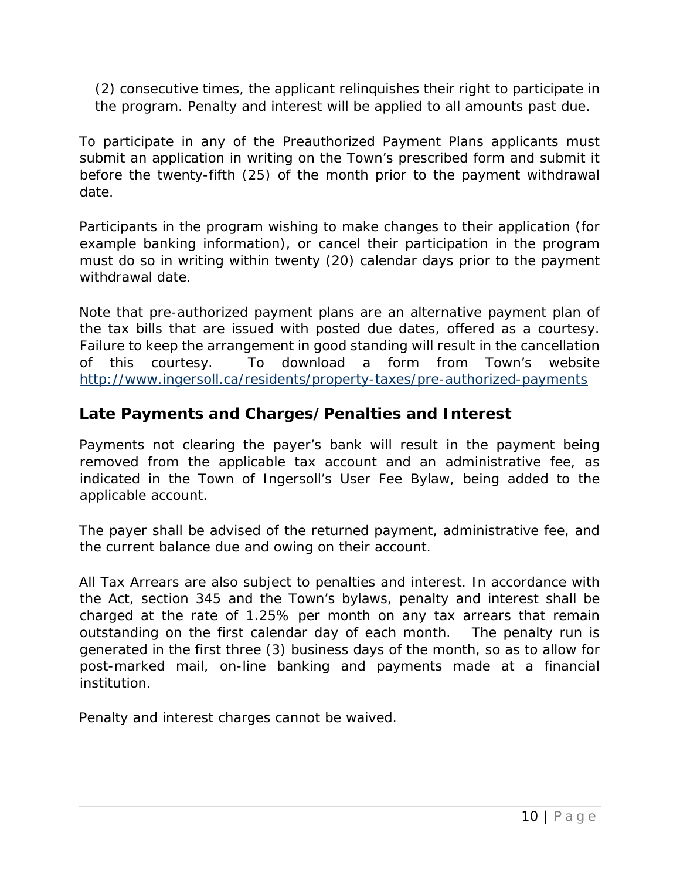(2) consecutive times, the applicant relinquishes their right to participate in the program. Penalty and interest will be applied to all amounts past due.

To participate in any of the Preauthorized Payment Plans applicants must submit an application in writing on the Town's prescribed form and submit it before the twenty-fifth (25) of the month prior to the payment withdrawal date.

Participants in the program wishing to make changes to their application (for example banking information), or cancel their participation in the program must do so in writing within twenty (20) calendar days prior to the payment withdrawal date.

Note that pre-authorized payment plans are an alternative payment plan of the tax bills that are issued with posted due dates, offered as a courtesy. Failure to keep the arrangement in good standing will result in the cancellation of this courtesy. To download a form from Town's website <http://www.ingersoll.ca/residents/property-taxes/pre-authorized-payments>

## <span id="page-9-0"></span>*Late Payments and Charges/Penalties and Interest*

Payments not clearing the payer's bank will result in the payment being removed from the applicable tax account and an administrative fee, as indicated in the Town of Ingersoll's User Fee Bylaw, being added to the applicable account.

The payer shall be advised of the returned payment, administrative fee, and the current balance due and owing on their account.

All Tax Arrears are also subject to penalties and interest. In accordance with the Act, section 345 and the Town's bylaws, penalty and interest shall be charged at the rate of 1.25% per month on any tax arrears that remain outstanding on the first calendar day of each month. The penalty run is generated in the first three (3) business days of the month, so as to allow for post-marked mail, on-line banking and payments made at a financial institution.

Penalty and interest charges cannot be waived.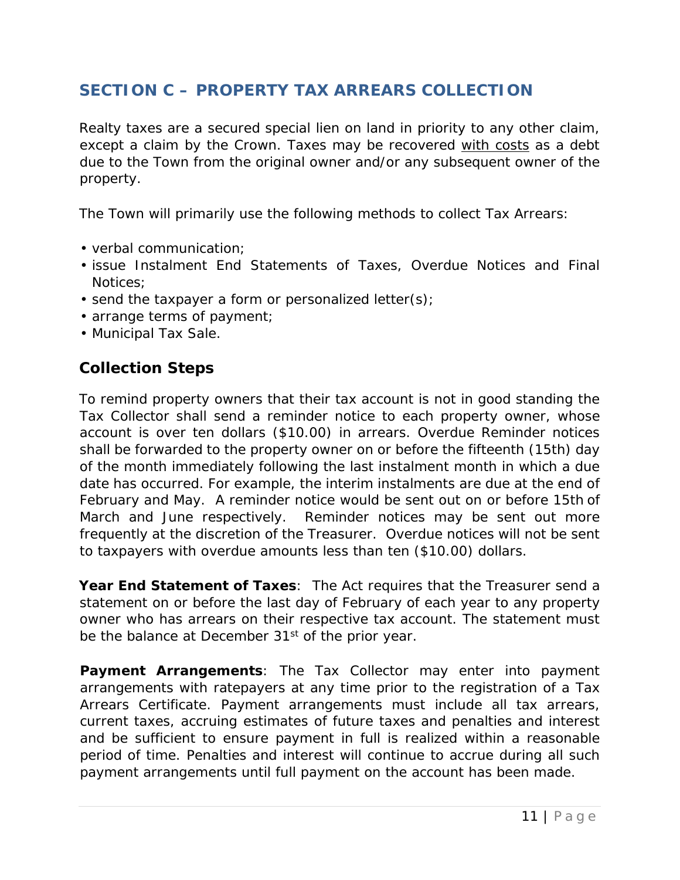## <span id="page-10-0"></span>**SECTION C – PROPERTY TAX ARREARS COLLECTION**

Realty taxes are a secured special lien on land in priority to any other claim, except a claim by the Crown. Taxes may be recovered with costs as a debt due to the Town from the original owner and/or any subsequent owner of the property.

The Town will primarily use the following methods to collect Tax Arrears:

- verbal communication;
- issue Instalment End Statements of Taxes, Overdue Notices and Final Notices;
- send the taxpayer a form or personalized letter(s);
- arrange terms of payment;
- Municipal Tax Sale.

#### <span id="page-10-1"></span>*Collection Steps*

To remind property owners that their tax account is not in good standing the Tax Collector shall send a reminder notice to each property owner, whose account is over ten dollars (\$10.00) in arrears. Overdue Reminder notices shall be forwarded to the property owner on or before the fifteenth (15th) day of the month immediately following the last instalment month in which a due date has occurred. For example, the interim instalments are due at the end of February and May. A reminder notice would be sent out on or before 15th of March and June respectively. Reminder notices may be sent out more frequently at the discretion of the Treasurer. Overdue notices will not be sent to taxpayers with overdue amounts less than ten (\$10.00) dollars.

*Year End Statement of Taxes*: The Act requires that the Treasurer send a statement on or before the last day of February of each year to any property owner who has arrears on their respective tax account. The statement must be the balance at December 31<sup>st</sup> of the prior year.

*Payment Arrangements*: The Tax Collector may enter into payment arrangements with ratepayers at any time prior to the registration of a Tax Arrears Certificate. Payment arrangements must include all tax arrears, current taxes, accruing estimates of future taxes and penalties and interest and be sufficient to ensure payment in full is realized within a reasonable period of time. Penalties and interest will continue to accrue during all such payment arrangements until full payment on the account has been made.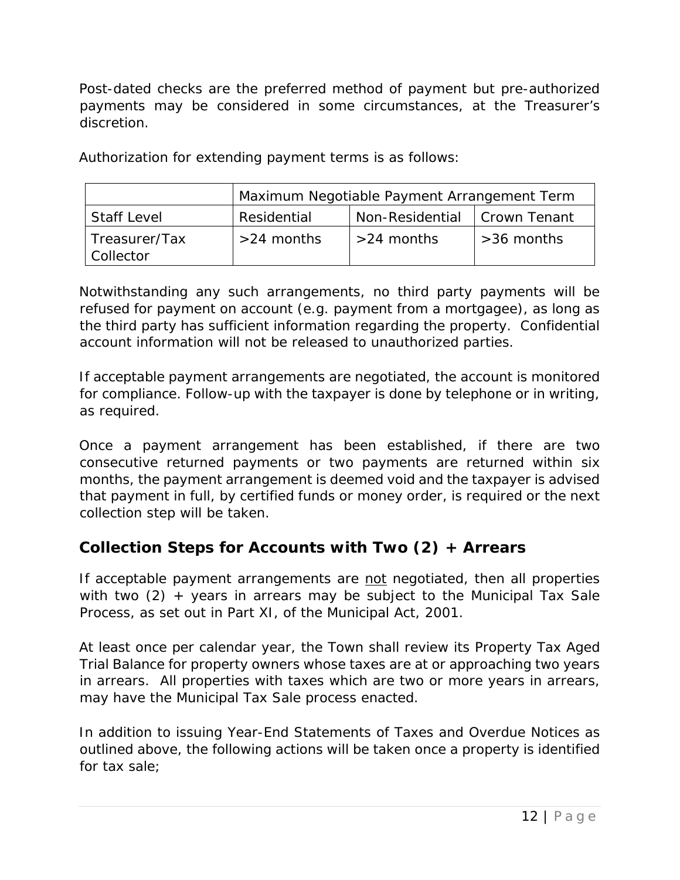Post-dated checks are the preferred method of payment but pre-authorized payments may be considered in some circumstances, at the Treasurer's discretion.

Authorization for extending payment terms is as follows:

|                    | Maximum Negotiable Payment Arrangement Term |                                |              |
|--------------------|---------------------------------------------|--------------------------------|--------------|
| <b>Staff Level</b> | Residential                                 | Non-Residential   Crown Tenant |              |
| Treasurer/Tax      | $>24$ months                                | $>24$ months                   | $>36$ months |
| <b>Collector</b>   |                                             |                                |              |

Notwithstanding any such arrangements, no third party payments will be refused for payment on account (e.g. payment from a mortgagee), as long as the third party has sufficient information regarding the property. Confidential account information will not be released to unauthorized parties.

If acceptable payment arrangements are negotiated, the account is monitored for compliance. Follow-up with the taxpayer is done by telephone or in writing, as required.

Once a payment arrangement has been established, if there are two consecutive returned payments or two payments are returned within six months, the payment arrangement is deemed void and the taxpayer is advised that payment in full, by certified funds or money order, is required or the next collection step will be taken.

### <span id="page-11-0"></span>*Collection Steps for Accounts with Two (2) + Arrears*

If acceptable payment arrangements are not negotiated, then all properties with two  $(2)$  + years in arrears may be subject to the Municipal Tax Sale Process, as set out in Part XI, of the Municipal Act, 2001.

At least once per calendar year, the Town shall review its Property Tax Aged Trial Balance for property owners whose taxes are at or approaching two years in arrears. All properties with taxes which are two or more years in arrears, may have the Municipal Tax Sale process enacted.

In addition to issuing Year-End Statements of Taxes and Overdue Notices as outlined above, the following actions will be taken once a property is identified for tax sale;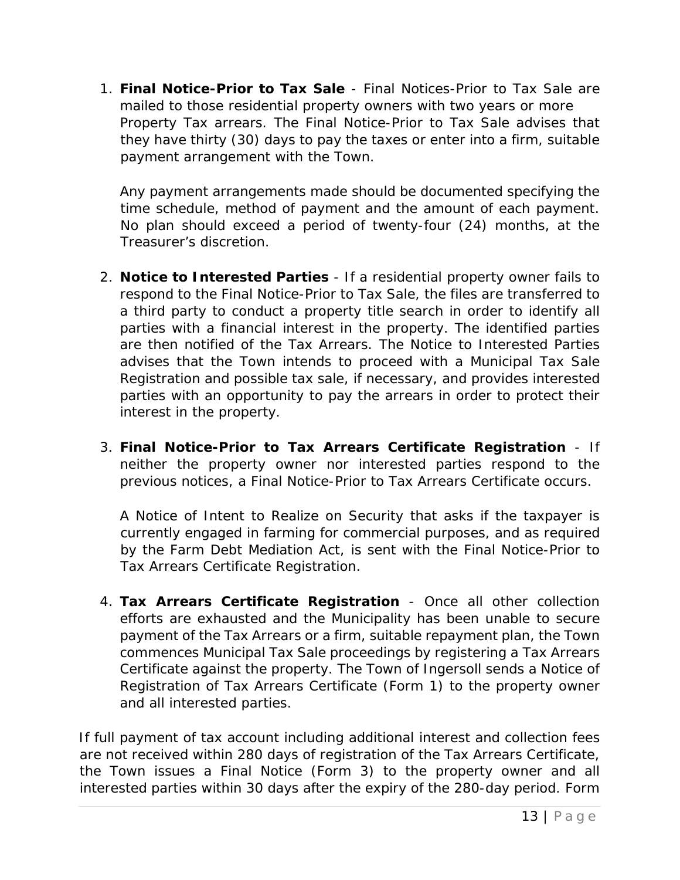1. *Final Notice-Prior to Tax Sale* - Final Notices-Prior to Tax Sale are mailed to those residential property owners with two years or more Property Tax arrears. The Final Notice-Prior to Tax Sale advises that they have thirty (30) days to pay the taxes or enter into a firm, suitable payment arrangement with the Town.

Any payment arrangements made should be documented specifying the time schedule, method of payment and the amount of each payment. No plan should exceed a period of twenty-four (24) months, at the Treasurer's discretion.

- 2. *Notice to Interested Parties* If a residential property owner fails to respond to the Final Notice-Prior to Tax Sale, the files are transferred to a third party to conduct a property title search in order to identify all parties with a financial interest in the property. The identified parties are then notified of the Tax Arrears. The Notice to Interested Parties advises that the Town intends to proceed with a Municipal Tax Sale Registration and possible tax sale, if necessary, and provides interested parties with an opportunity to pay the arrears in order to protect their interest in the property.
- 3. *Final Notice-Prior to Tax Arrears Certificate Registration* If neither the property owner nor interested parties respond to the previous notices, a Final Notice-Prior to Tax Arrears Certificate occurs.

A Notice of Intent to Realize on Security that asks if the taxpayer is currently engaged in farming for commercial purposes, and as required by the Farm Debt Mediation Act, is sent with the Final Notice-Prior to Tax Arrears Certificate Registration.

4. *Tax Arrears Certificate Registration* - Once all other collection efforts are exhausted and the Municipality has been unable to secure payment of the Tax Arrears or a firm, suitable repayment plan, the Town commences Municipal Tax Sale proceedings by registering a Tax Arrears Certificate against the property. The Town of Ingersoll sends a Notice of Registration of Tax Arrears Certificate (Form 1) to the property owner and all interested parties.

If full payment of tax account including additional interest and collection fees are not received within 280 days of registration of the Tax Arrears Certificate, the Town issues a Final Notice (Form 3) to the property owner and all interested parties within 30 days after the expiry of the 280-day period. Form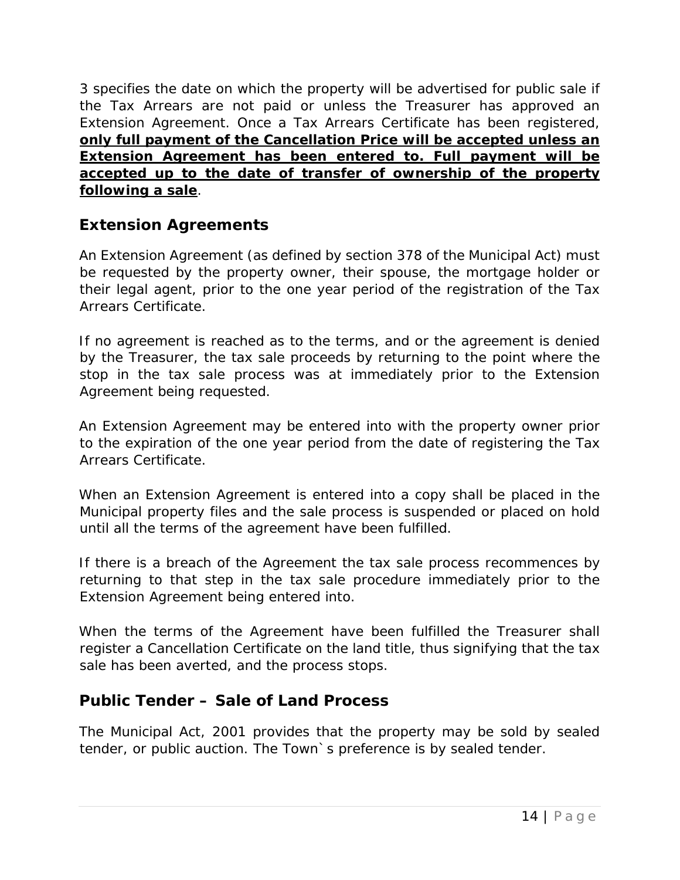3 specifies the date on which the property will be advertised for public sale if the Tax Arrears are not paid or unless the Treasurer has approved an Extension Agreement. Once a Tax Arrears Certificate has been registered, **only full payment of the Cancellation Price will be accepted unless an Extension Agreement has been entered to. Full payment will be accepted up to the date of transfer of ownership of the property following a sale**.

### <span id="page-13-0"></span>*Extension Agreements*

An Extension Agreement (as defined by section 378 of the Municipal Act) must be requested by the property owner, their spouse, the mortgage holder or their legal agent, prior to the one year period of the registration of the Tax Arrears Certificate.

If no agreement is reached as to the terms, and or the agreement is denied by the Treasurer, the tax sale proceeds by returning to the point where the stop in the tax sale process was at immediately prior to the Extension Agreement being requested.

An Extension Agreement may be entered into with the property owner prior to the expiration of the one year period from the date of registering the Tax Arrears Certificate.

When an Extension Agreement is entered into a copy shall be placed in the Municipal property files and the sale process is suspended or placed on hold until all the terms of the agreement have been fulfilled.

If there is a breach of the Agreement the tax sale process recommences by returning to that step in the tax sale procedure immediately prior to the Extension Agreement being entered into.

When the terms of the Agreement have been fulfilled the Treasurer shall register a Cancellation Certificate on the land title, thus signifying that the tax sale has been averted, and the process stops.

### <span id="page-13-1"></span>*Public Tender – Sale of Land Process*

The Municipal Act, 2001 provides that the property may be sold by sealed tender, or public auction. The Town`s preference is by sealed tender.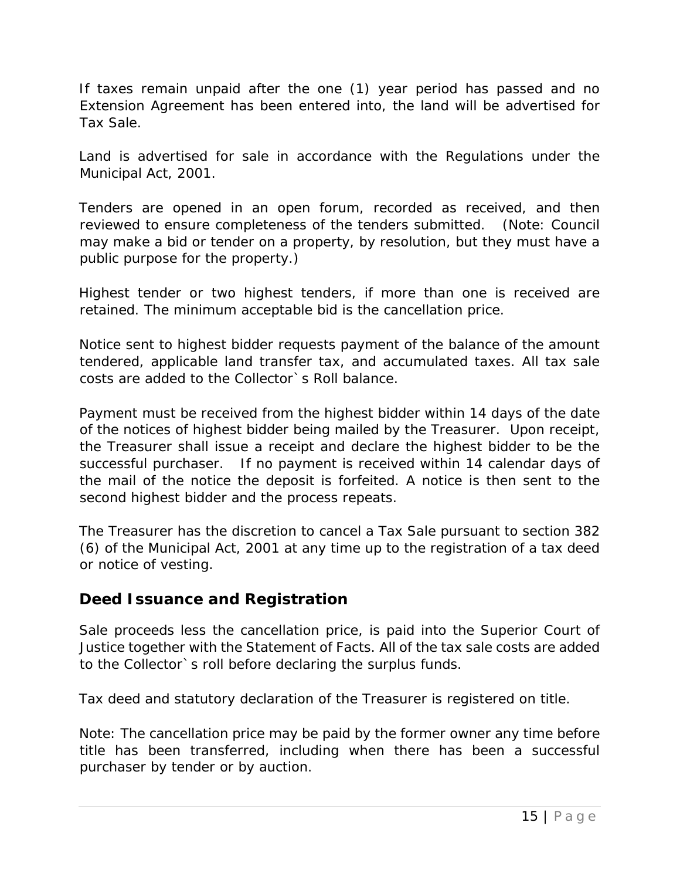If taxes remain unpaid after the one (1) year period has passed and no Extension Agreement has been entered into, the land will be advertised for Tax Sale.

Land is advertised for sale in accordance with the Regulations under the Municipal Act, 2001.

Tenders are opened in an open forum, recorded as received, and then reviewed to ensure completeness of the tenders submitted. (Note: Council may make a bid or tender on a property, by resolution, but they must have a public purpose for the property.)

Highest tender or two highest tenders, if more than one is received are retained. The minimum acceptable bid is the cancellation price.

Notice sent to highest bidder requests payment of the balance of the amount tendered, applicable land transfer tax, and accumulated taxes. All tax sale costs are added to the Collector`s Roll balance.

Payment must be received from the highest bidder within 14 days of the date of the notices of highest bidder being mailed by the Treasurer. Upon receipt, the Treasurer shall issue a receipt and declare the highest bidder to be the successful purchaser. If no payment is received within 14 calendar days of the mail of the notice the deposit is forfeited. A notice is then sent to the second highest bidder and the process repeats.

The Treasurer has the discretion to cancel a Tax Sale pursuant to section 382 (6) of the Municipal Act, 2001 at any time up to the registration of a tax deed or notice of vesting.

#### <span id="page-14-0"></span>*Deed Issuance and Registration*

Sale proceeds less the cancellation price, is paid into the Superior Court of Justice together with the Statement of Facts. All of the tax sale costs are added to the Collector`s roll before declaring the surplus funds.

Tax deed and statutory declaration of the Treasurer is registered on title.

Note: The cancellation price may be paid by the former owner any time before title has been transferred, including when there has been a successful purchaser by tender or by auction.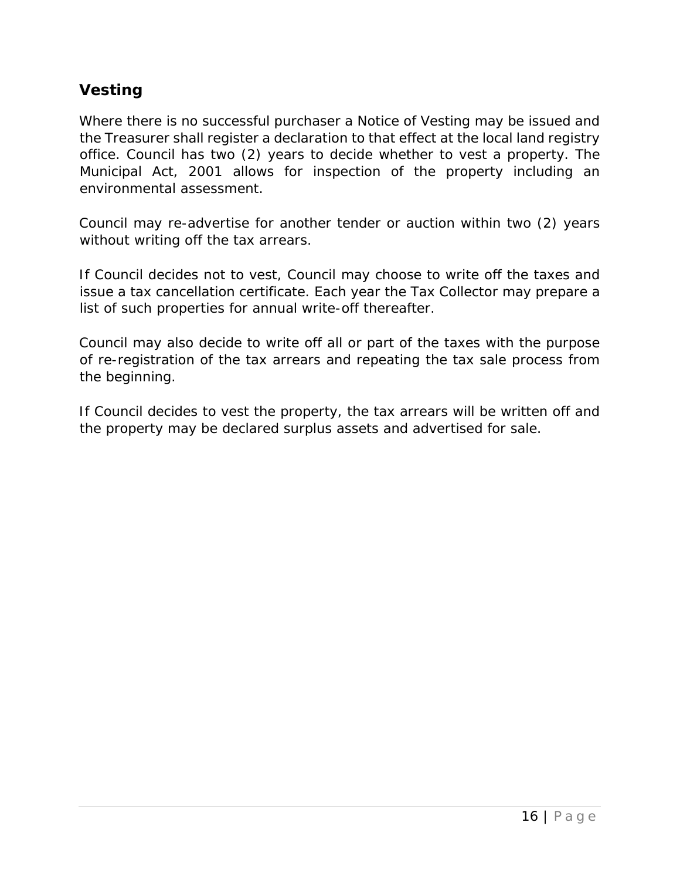### <span id="page-15-0"></span>*Vesting*

Where there is no successful purchaser a Notice of Vesting may be issued and the Treasurer shall register a declaration to that effect at the local land registry office. Council has two (2) years to decide whether to vest a property. The Municipal Act, 2001 allows for inspection of the property including an environmental assessment.

Council may re-advertise for another tender or auction within two (2) years without writing off the tax arrears.

If Council decides not to vest, Council may choose to write off the taxes and issue a tax cancellation certificate. Each year the Tax Collector may prepare a list of such properties for annual write-off thereafter.

Council may also decide to write off all or part of the taxes with the purpose of re-registration of the tax arrears and repeating the tax sale process from the beginning.

If Council decides to vest the property, the tax arrears will be written off and the property may be declared surplus assets and advertised for sale.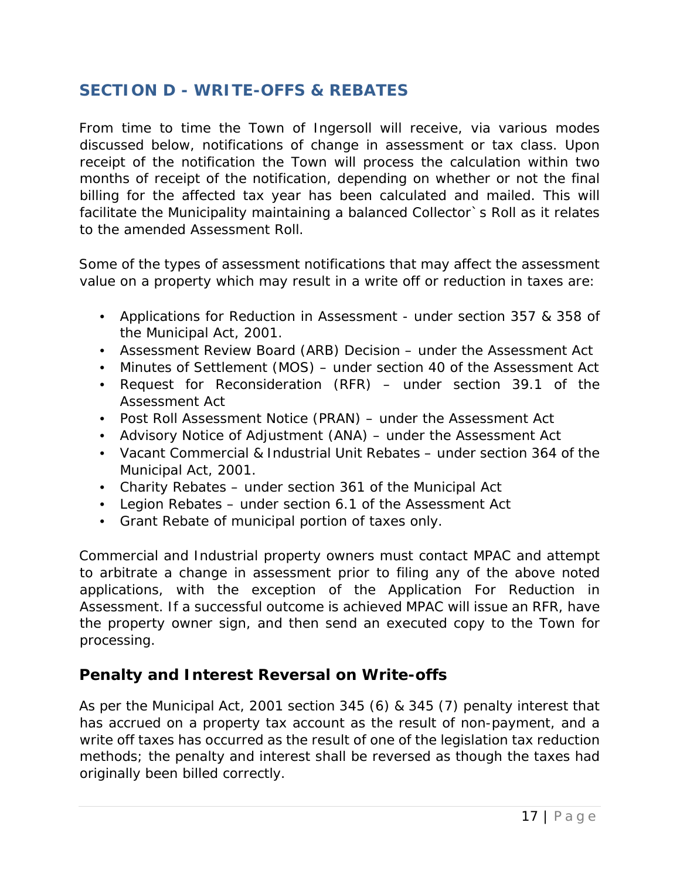### <span id="page-16-0"></span>**SECTION D - WRITE-OFFS & REBATES**

From time to time the Town of Ingersoll will receive, via various modes discussed below, notifications of change in assessment or tax class. Upon receipt of the notification the Town will process the calculation within two months of receipt of the notification, depending on whether or not the final billing for the affected tax year has been calculated and mailed. This will facilitate the Municipality maintaining a balanced Collector`s Roll as it relates to the amended Assessment Roll.

Some of the types of assessment notifications that may affect the assessment value on a property which may result in a write off or reduction in taxes are:

- Applications for Reduction in Assessment under section 357 & 358 of the Municipal Act, 2001.
- Assessment Review Board (ARB) Decision under the Assessment Act
- Minutes of Settlement (MOS) under section 40 of the Assessment Act
- Request for Reconsideration (RFR) under section 39.1 of the Assessment Act
- Post Roll Assessment Notice (PRAN) under the Assessment Act
- Advisory Notice of Adjustment (ANA) under the Assessment Act
- Vacant Commercial & Industrial Unit Rebates under section 364 of the Municipal Act, 2001.
- Charity Rebates under section 361 of the Municipal Act
- Legion Rebates under section 6.1 of the Assessment Act
- Grant Rebate of municipal portion of taxes only.

Commercial and Industrial property owners must contact MPAC and attempt to arbitrate a change in assessment prior to filing any of the above noted applications, with the exception of the *Application For Reduction in Assessment*. If a successful outcome is achieved MPAC will issue an RFR, have the property owner sign, and then send an executed copy to the Town for processing.

#### <span id="page-16-1"></span>*Penalty and Interest Reversal on Write-offs*

As per the Municipal Act, 2001 section 345 (6) & 345 (7) penalty interest that has accrued on a property tax account as the result of non-payment, and a write off taxes has occurred as the result of one of the legislation tax reduction methods; the penalty and interest shall be reversed as though the taxes had originally been billed correctly.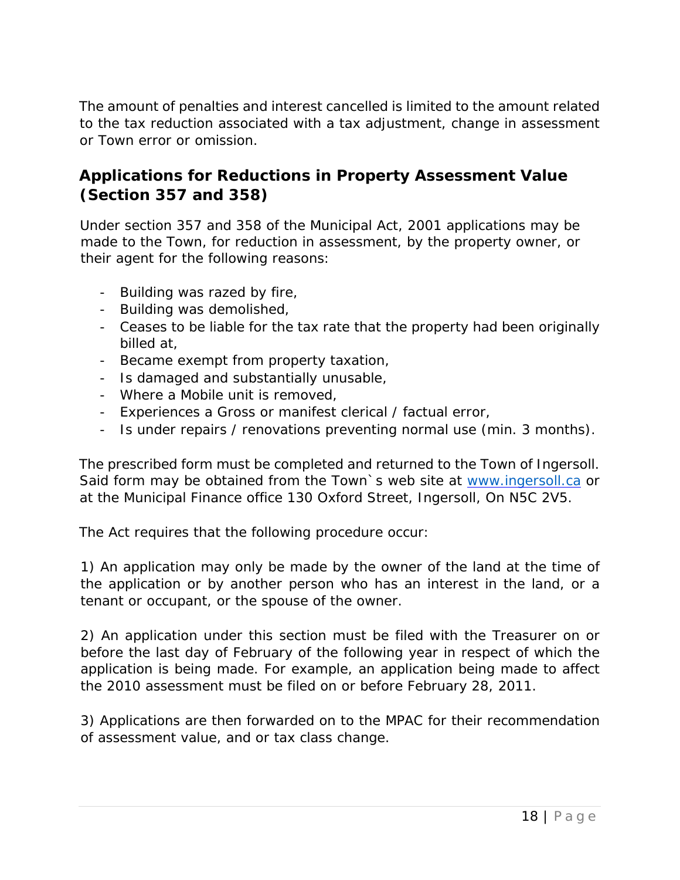The amount of penalties and interest cancelled is limited to the amount related to the tax reduction associated with a tax adjustment, change in assessment or Town error or omission.

### <span id="page-17-0"></span>*Applications for Reductions in Property Assessment Value (Section 357 and 358)*

Under section 357 and 358 of the Municipal Act, 2001 applications may be made to the Town, for reduction in assessment, by the property owner, or their agent for the following reasons:

- Building was razed by fire,
- Building was demolished,
- Ceases to be liable for the tax rate that the property had been originally billed at,
- Became exempt from property taxation,
- Is damaged and substantially unusable,
- Where a Mobile unit is removed,
- Experiences a Gross or manifest clerical / factual error,
- Is under repairs / renovations preventing normal use (min. 3 months).

The prescribed form must be completed and returned to the Town of Ingersoll. Said form may be obtained from the Town's web site at [www.ingersoll.ca](http://www.ingersoll.ca/) [o](http://www.ingersoll.ca/)r at the Municipal Finance office 130 Oxford Street, Ingersoll, On N5C 2V5.

The Act requires that the following procedure occur:

1) An application may only be made by the owner of the land at the time of the application or by another person who has an interest in the land, or a tenant or occupant, or the spouse of the owner.

2) An application under this section must be filed with the Treasurer on or before the last day of February of the following year in respect of which the application is being made. For example, an application being made to affect the 2010 assessment must be filed on or before February 28, 2011.

3) Applications are then forwarded on to the MPAC for their recommendation of assessment value, and or tax class change.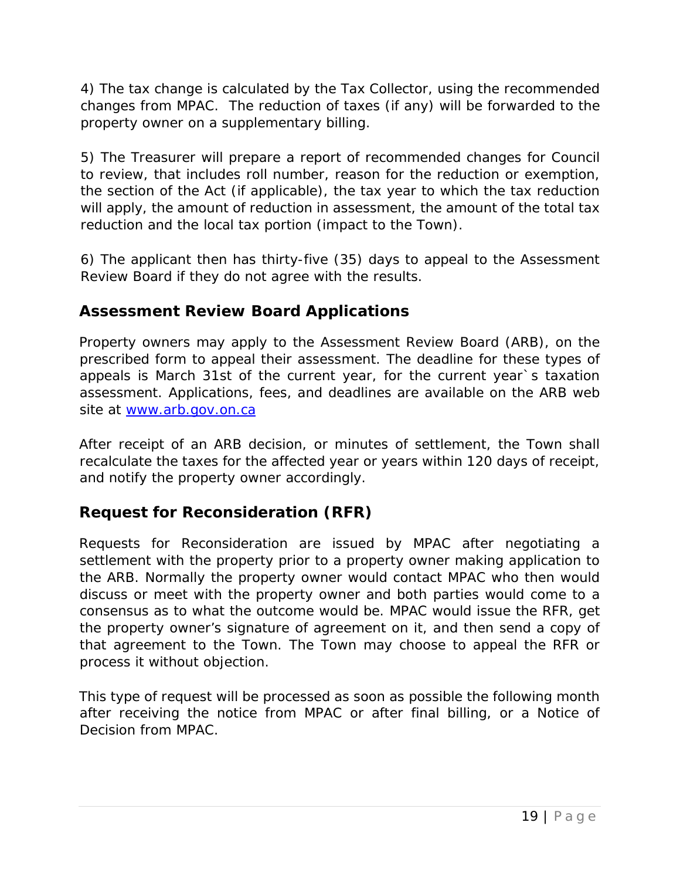4) The tax change is calculated by the Tax Collector, using the recommended changes from MPAC. The reduction of taxes (if any) will be forwarded to the property owner on a supplementary billing.

5) The Treasurer will prepare a report of recommended changes for Council to review, that includes roll number, reason for the reduction or exemption, the section of the Act (if applicable), the tax year to which the tax reduction will apply, the amount of reduction in assessment, the amount of the total tax reduction and the local tax portion (impact to the Town).

6) The applicant then has thirty-five (35) days to appeal to the Assessment Review Board if they do not agree with the results.

### <span id="page-18-0"></span>*Assessment Review Board Applications*

Property owners may apply to the Assessment Review Board (ARB), on the prescribed form to appeal their assessment. The deadline for these types of appeals is March 31st of the current year, for the current year`s taxation assessment. Applications, fees, and deadlines are available on the ARB web site at [www.arb.gov.on.ca](http://www.arb.gov.on.ca/)

After receipt of an ARB decision, or minutes of settlement, the Town shall recalculate the taxes for the affected year or years within 120 days of receipt, and notify the property owner accordingly.

### <span id="page-18-1"></span>*Request for Reconsideration (RFR)*

Requests for Reconsideration are issued by MPAC after negotiating a settlement with the property prior to a property owner making application to the ARB. Normally the property owner would contact MPAC who then would discuss or meet with the property owner and both parties would come to a consensus as to what the outcome would be. MPAC would issue the RFR, get the property owner's signature of agreement on it, and then send a copy of that agreement to the Town. The Town may choose to appeal the RFR or process it without objection.

This type of request will be processed as soon as possible the following month after receiving the notice from MPAC or after final billing, or a Notice of Decision from MPAC.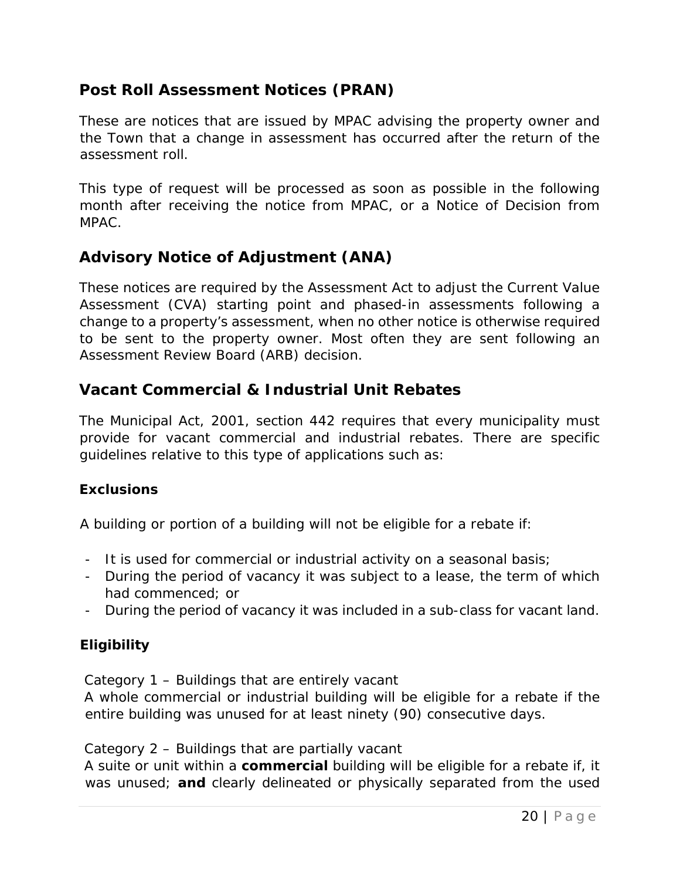### <span id="page-19-0"></span>*Post Roll Assessment Notices (PRAN)*

These are notices that are issued by MPAC advising the property owner and the Town that a change in assessment has occurred after the return of the assessment roll.

This type of request will be processed as soon as possible in the following month after receiving the notice from MPAC, or a Notice of Decision from MPAC.

### <span id="page-19-1"></span>*Advisory Notice of Adjustment (ANA)*

These notices are required by the Assessment Act to adjust the Current Value Assessment (CVA) starting point and phased-in assessments following a change to a property's assessment, when no other notice is otherwise required to be sent to the property owner. Most often they are sent following an Assessment Review Board (ARB) decision.

### <span id="page-19-2"></span>*Vacant Commercial & Industrial Unit Rebates*

The Municipal Act, 2001, section 442 requires that every municipality must provide for vacant commercial and industrial rebates. There are specific guidelines relative to this type of applications such as:

#### *Exclusions*

A building or portion of a building will not be eligible for a rebate if:

- It is used for commercial or industrial activity on a seasonal basis;
- During the period of vacancy it was subject to a lease, the term of which had commenced; or
- During the period of vacancy it was included in a sub-class for vacant land.

#### *Eligibility*

Category 1 – Buildings that are entirely vacant

A whole commercial or industrial building will be eligible for a rebate if the entire building was unused for at least ninety (90) consecutive days.

Category 2 – Buildings that are partially vacant

A suite or unit within a **commercial** building will be eligible for a rebate if, it was unused; **and** clearly delineated or physically separated from the used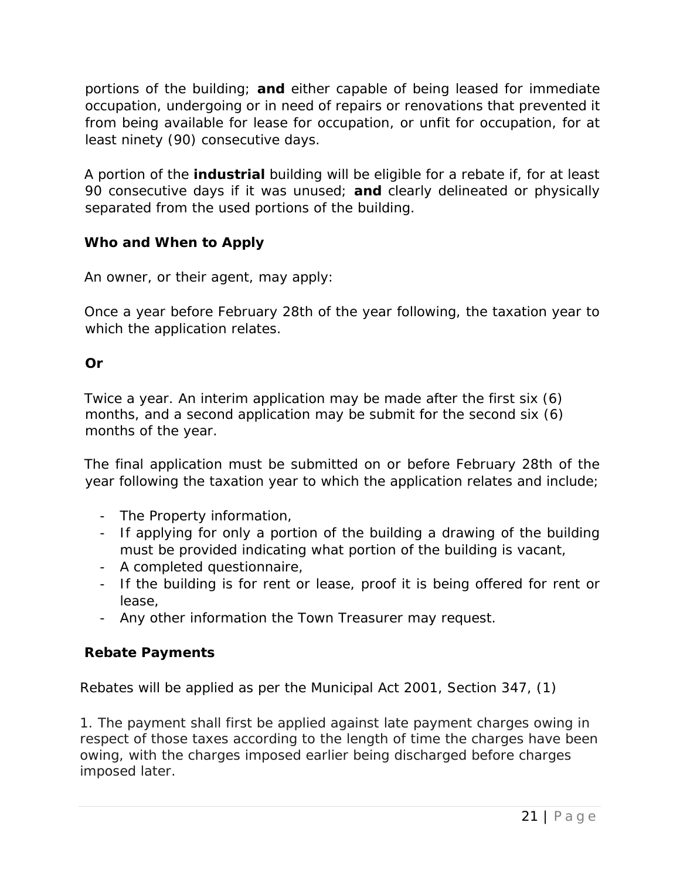portions of the building; **and** either capable of being leased for immediate occupation, undergoing or in need of repairs or renovations that prevented it from being available for lease for occupation, or unfit for occupation, for at least ninety (90) consecutive days.

A portion of the **industrial** building will be eligible for a rebate if, for at least 90 consecutive days if it was unused; **and** clearly delineated or physically separated from the used portions of the building.

#### *Who and When to Apply*

An owner, or their agent, may apply:

Once a year before February 28th of the year following, the taxation year to which the application relates.

#### **Or**

Twice a year. An interim application may be made after the first six (6) months, and a second application may be submit for the second six (6) months of the year.

The final application must be submitted on or before February 28th of the year following the taxation year to which the application relates and include;

- The Property information,
- If applying for only a portion of the building a drawing of the building must be provided indicating what portion of the building is vacant,
- A completed questionnaire,
- If the building is for rent or lease, proof it is being offered for rent or lease,
- Any other information the Town Treasurer may request.

#### *Rebate Payments*

Rebates will be applied as per the Municipal Act 2001, Section 347, (1)

1. The payment shall first be applied against late payment charges owing in respect of those taxes according to the length of time the charges have been owing, with the charges imposed earlier being discharged before charges imposed later.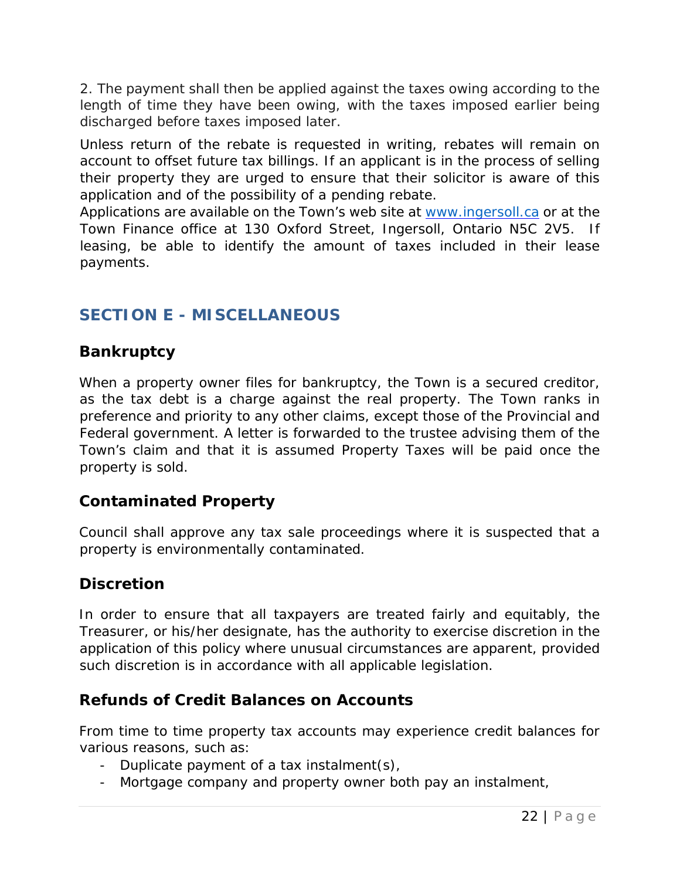2. The payment shall then be applied against the taxes owing according to the length of time they have been owing, with the taxes imposed earlier being discharged before taxes imposed later.

Unless return of the rebate is requested in writing, rebates will remain on account to offset future tax billings. If an applicant is in the process of selling their property they are urged to ensure that their solicitor is aware of this application and of the possibility of a pending rebate.

Applications are available on the Town's web site at [www.ingersoll.ca](http://www.ingersoll.ca/) or at the Town Finance office at 130 Oxford Street, Ingersoll, Ontario N5C 2V5. If leasing, be able to identify the amount of taxes included in their lease payments.

# <span id="page-21-0"></span>**SECTION E - MISCELLANEOUS**

## <span id="page-21-1"></span>*Bankruptcy*

When a property owner files for bankruptcy, the Town is a secured creditor, as the tax debt is a charge against the real property. The Town ranks in preference and priority to any other claims, except those of the Provincial and Federal government. A letter is forwarded to the trustee advising them of the Town's claim and that it is assumed Property Taxes will be paid once the property is sold.

### <span id="page-21-2"></span>*Contaminated Property*

Council shall approve any tax sale proceedings where it is suspected that a property is environmentally contaminated.

## <span id="page-21-3"></span>*Discretion*

In order to ensure that all taxpayers are treated fairly and equitably, the Treasurer, or his/her designate, has the authority to exercise discretion in the application of this policy where unusual circumstances are apparent, provided such discretion is in accordance with all applicable legislation.

### <span id="page-21-4"></span>*Refunds of Credit Balances on Accounts*

From time to time property tax accounts may experience credit balances for various reasons, such as:

- Duplicate payment of a tax instalment(s),
- Mortgage company and property owner both pay an instalment,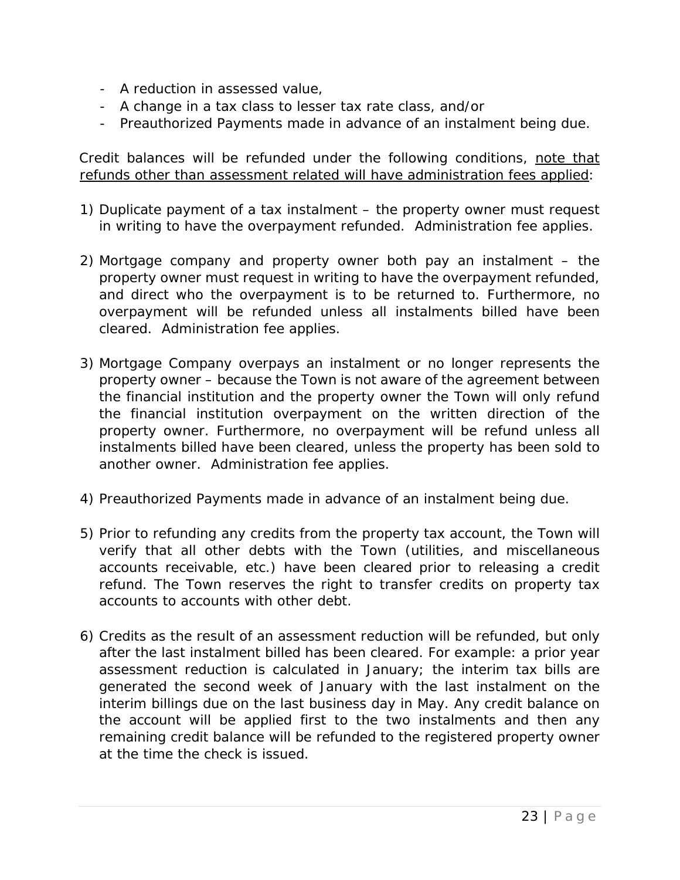- A reduction in assessed value,
- A change in a tax class to lesser tax rate class, and/or
- Preauthorized Payments made in advance of an instalment being due.

Credit balances will be refunded under the following conditions, note that refunds other than assessment related will have administration fees applied:

- 1) Duplicate payment of a tax instalment the property owner must request in writing to have the overpayment refunded. Administration fee applies.
- 2) Mortgage company and property owner both pay an instalment the property owner must request in writing to have the overpayment refunded, and direct who the overpayment is to be returned to. Furthermore, no overpayment will be refunded unless all instalments billed have been cleared. Administration fee applies.
- 3) Mortgage Company overpays an instalment or no longer represents the property owner – because the Town is not aware of the agreement between the financial institution and the property owner the Town will only refund the financial institution overpayment on the written direction of the property owner. Furthermore, no overpayment will be refund unless all instalments billed have been cleared, unless the property has been sold to another owner. Administration fee applies.
- 4) Preauthorized Payments made in advance of an instalment being due.
- 5) Prior to refunding any credits from the property tax account, the Town will verify that all other debts with the Town (utilities, and miscellaneous accounts receivable, etc.) have been cleared prior to releasing a credit refund. The Town reserves the right to transfer credits on property tax accounts to accounts with other debt.
- 6) Credits as the result of an assessment reduction will be refunded, but only after the last instalment billed has been cleared. For example: a prior year assessment reduction is calculated in January; the interim tax bills are generated the second week of January with the last instalment on the interim billings due on the last business day in May. Any credit balance on the account will be applied first to the two instalments and then any remaining credit balance will be refunded to the registered property owner at the time the check is issued.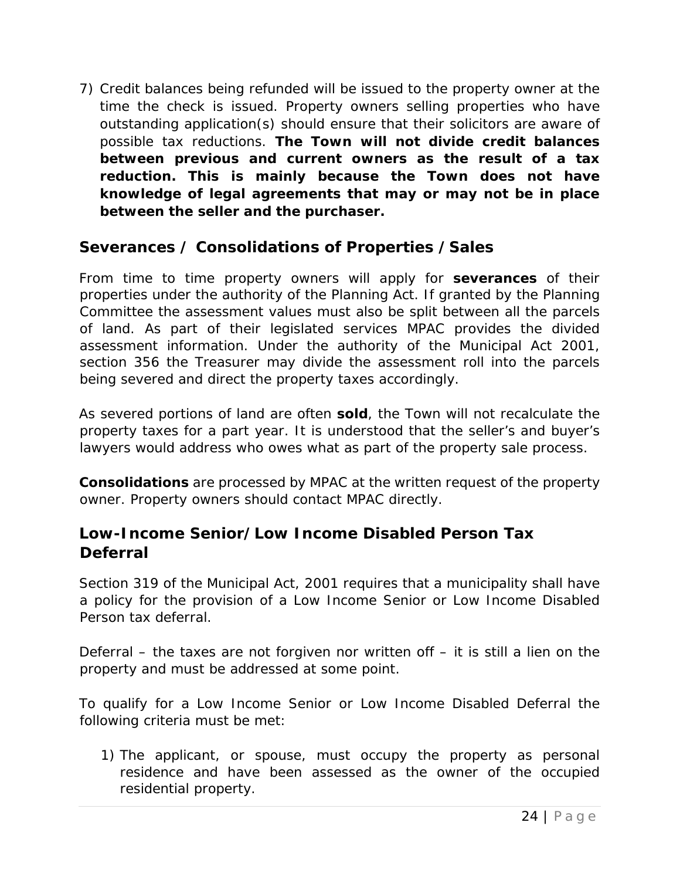7) Credit balances being refunded will be issued to the property owner at the time the check is issued. Property owners selling properties who have outstanding application(s) should ensure that their solicitors are aware of possible tax reductions. **The Town will not divide credit balances between previous and current owners as the result of a tax reduction. This is mainly because the Town does not have knowledge of legal agreements that may or may not be in place between the seller and the purchaser.** 

#### <span id="page-23-0"></span>*Severances / Consolidations of Properties /Sales*

From time to time property owners will apply for *severances* of their properties under the authority of the Planning Act. If granted by the Planning Committee the assessment values must also be split between all the parcels of land. As part of their legislated services MPAC provides the divided assessment information. Under the authority of the Municipal Act 2001, section 356 the Treasurer may divide the assessment roll into the parcels being severed and direct the property taxes accordingly.

As severed portions of land are often **sold**, the Town will not recalculate the property taxes for a part year. It is understood that the seller's and buyer's lawyers would address who owes what as part of the property sale process.

*Consolidations* are processed by MPAC at the written request of the property owner. Property owners should contact MPAC directly.

### <span id="page-23-1"></span>*Low-Income Senior/Low Income Disabled Person Tax Deferral*

Section 319 of the Municipal Act, 2001 requires that a municipality shall have a policy for the provision of a Low Income Senior or Low Income Disabled Person tax deferral.

Deferral – the taxes are not forgiven nor written off – it is still a lien on the property and must be addressed at some point.

To qualify for a Low Income Senior or Low Income Disabled Deferral the following criteria must be met:

1) The applicant, or spouse, must occupy the property as personal residence and have been assessed as the owner of the occupied residential property.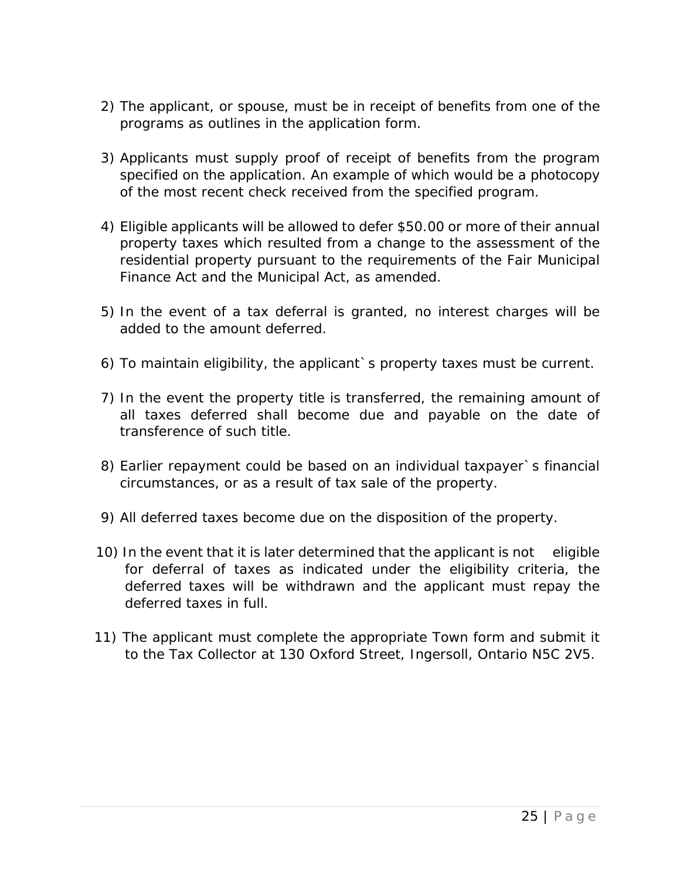- 2) The applicant, or spouse, must be in receipt of benefits from one of the programs as outlines in the application form.
- 3) Applicants must supply proof of receipt of benefits from the program specified on the application. An example of which would be a photocopy of the most recent check received from the specified program.
- 4) Eligible applicants will be allowed to defer \$50.00 or more of their annual property taxes which resulted from a change to the assessment of the residential property pursuant to the requirements of the Fair Municipal Finance Act and the Municipal Act, as amended.
- 5) In the event of a tax deferral is granted, no interest charges will be added to the amount deferred.
- 6) To maintain eligibility, the applicant`s property taxes must be current.
- 7) In the event the property title is transferred, the remaining amount of all taxes deferred shall become due and payable on the date of transference of such title.
- 8) Earlier repayment could be based on an individual taxpayer`s financial circumstances, or as a result of tax sale of the property.
- 9) All deferred taxes become due on the disposition of the property.
- 10) In the event that it is later determined that the applicant is not eligible for deferral of taxes as indicated under the eligibility criteria, the deferred taxes will be withdrawn and the applicant must repay the deferred taxes in full.
- 11) The applicant must complete the appropriate Town form and submit it to the Tax Collector at 130 Oxford Street, Ingersoll, Ontario N5C 2V5.